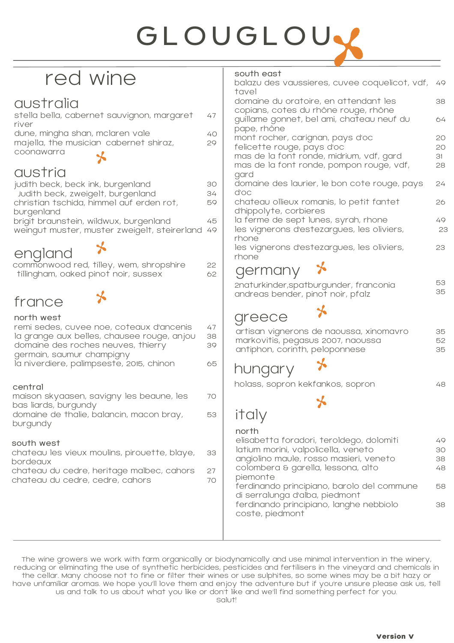# GLOUGLOU.

Τ

# red wine

## australia

| stella bella, cabernet sauvignon, margaret | 47              |
|--------------------------------------------|-----------------|
| river                                      |                 |
| dune, mingha shan, mclaren vale            | 40.             |
| majella, the musician cabernet shiraz,     | 20 <sub>o</sub> |
| coonawarra                                 |                 |
|                                            |                 |

#### austria

| judith beck, beck ink, burgenland                  | 30 |
|----------------------------------------------------|----|
| Judith beck, zweigelt, burgenland                  | 34 |
| christian tschida, himmel auf erden rot,           | 59 |
| burgenland                                         |    |
| brigit braunstein, wildwux, burgenland             |    |
| weingut muster, muster zweigelt, steirerland 49    |    |
|                                                    |    |
| england<br>commonwood red. tillev. wem. shropshire |    |
|                                                    |    |

| commonwood red, tilley, wem, shropshire | 22 |
|-----------------------------------------|----|
| tillingham, oaked pinot noir, sussex    | 62 |

 $\star$ 

#### france

#### $n+1$  west

| TIOLITI MEST<br>remi sedes, cuvee noe, coteaux d'ancenis<br>la grange aux belles, chausee rouge, anjou<br>domaine des roches neuves, thierry<br>germain, saumur champigny<br>la niverdiere, palimpseste, 2015, chinon | 47<br>38<br>39<br>65 |
|-----------------------------------------------------------------------------------------------------------------------------------------------------------------------------------------------------------------------|----------------------|
| central<br>maison skyaasen, savigny les beaune, les<br>bas liards, burgundy<br>domaine de thalie, balancin, macon bray,<br>burgundy                                                                                   | 70<br>53             |
| south west<br>chateau les vieux moulins, pirouette, blaye,<br>bordeaux<br>chateau du cedre, heritage malbec, cahors<br>chateau du cedre, cedre, cahors                                                                | 33<br>27<br>70       |

#### south east

| soutn east<br>balazu des vaussieres, cuvee coquelicot, vdf,                                                                                                                                                                                                                                                     | 49                               |
|-----------------------------------------------------------------------------------------------------------------------------------------------------------------------------------------------------------------------------------------------------------------------------------------------------------------|----------------------------------|
| tavel<br>domaine du oratoire, en attendant les                                                                                                                                                                                                                                                                  | 38                               |
| copians, cotes du rhône rouge, rhône<br>guillame gonnet, bel ami, chateau neuf du                                                                                                                                                                                                                               | 64                               |
| pape, rhône<br>mont rocher, carignan, pays d'oc<br>felicette rouge, pays d'oc<br>mas de la font ronde, midrium, vdf, gard<br>mas de la font ronde, pompon rouge, vdf,                                                                                                                                           | 20<br>20<br>31<br>28             |
| gard<br>domaine des laurier, le bon cote rouge, pays                                                                                                                                                                                                                                                            | 24                               |
| d'oc<br>chateau ollieux romanis, lo petit fantet                                                                                                                                                                                                                                                                | 26                               |
| d'hippolyte, corbieres<br>la ferme de sept lunes, syrah, rhone<br>les vignerons d'estezargues, les oliviers,<br>rhone                                                                                                                                                                                           | 49<br>23                         |
| les vignerons d'estezargues, les oliviers,<br>rhone                                                                                                                                                                                                                                                             | 23                               |
| germany $\star$                                                                                                                                                                                                                                                                                                 |                                  |
| 2naturkinder, spatburgunder, franconia<br>andreas bender, pinot noir, pfalz                                                                                                                                                                                                                                     | 53<br>35                         |
| greece                                                                                                                                                                                                                                                                                                          |                                  |
| artisan vignerons de naoussa, xinomavro<br>markovitis, pegasus 2007, naoussa<br>antiphon, corinth, peloponnese                                                                                                                                                                                                  | 35<br>52<br>35                   |
| hungary                                                                                                                                                                                                                                                                                                         |                                  |
| holass, sopron kekfankos, sopron                                                                                                                                                                                                                                                                                | 48                               |
|                                                                                                                                                                                                                                                                                                                 |                                  |
| <i>italy</i>                                                                                                                                                                                                                                                                                                    |                                  |
| north<br>elisabetta foradori, teroldego, dolomiti<br>latium morini, valpolicella, veneto<br>angiolino maule, rosso masieri, veneto<br>colombera & garella, lessona, alto<br>piemonte<br>ferdinando principiano, barolo del commune<br>di serralunga d'alba, piedmont<br>ferdinando principiano, langhe nebbiolo | 49<br>30<br>38<br>48<br>58<br>38 |
| coste, piedmont                                                                                                                                                                                                                                                                                                 |                                  |

The wine growers we work with farm organically or biodynamically and use minimal intervention in the winery, reducing or eliminating the use of synthetic herbicides, pesticides and fertilisers in the vineyard and chemicals in the cellar. Many choose not to fine or filter their wines or use sulphites, so some wines may be a bit hazy or have unfamiliar aromas. We hope you'll love them and enjoy the adventure but if you're unsure please ask us, tell us and talk to us about what you like or don't like and we'll find something perfect for you.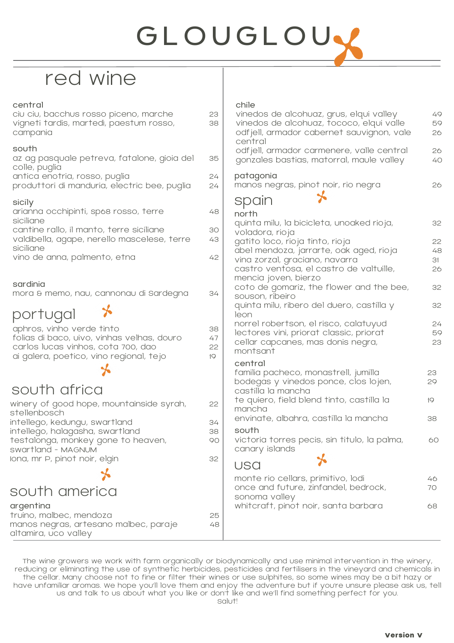# GLOUGLOUY

# red wine

| central<br>ciu ciu, bacchus rosso piceno, marche<br>vigneti tardis, martedì, paestum rosso,<br>campania                                                  | 23<br>38             | chile<br>vinedos de alcohuaz, grus, elqui valley<br>vinedos de alcohuaz, tococo, elqui valle<br>odfjell, armador cabernet sauvignon, vale<br>central | 49<br>59<br>26 |
|----------------------------------------------------------------------------------------------------------------------------------------------------------|----------------------|------------------------------------------------------------------------------------------------------------------------------------------------------|----------------|
| south<br>az ag pasquale petreva, fatalone, gioia del<br>colle, puglia                                                                                    | 35                   | odfjell, armador carmenere, valle central<br>gonzales bastias, matorral, maule valley                                                                | 26<br>40       |
| antica enotria, rosso, puglia<br>produttori di manduria, electric bee, puglia                                                                            | 24<br>24             | patagonia<br>manos negras, pinot noir, rio negra                                                                                                     | 26             |
| sicily<br>arianna occhipinti, sp68 rosso, terre<br>siciliane<br>cantine rallo, il manto, terre siciliane<br>valdibella, agape, nerello mascelese, terre  | 48<br>30<br>43       | spain<br>north<br>quinta milu, la bicicleta, unoaked rioja,<br>voladora, rioja<br>gatito loco, rioja tinto, rioja                                    | 32<br>22       |
| siciliane<br>vino de anna, palmento, etna                                                                                                                | 42                   | abel mendoza, jarrarte, oak aged, rioja<br>vina zorzal, graciano, navarra<br>castro ventosa, el castro de valtuille,<br>mencia joven, bierzo         | 48<br>31<br>26 |
| sardinia<br>mora & memo, nau, cannonau di sardegna                                                                                                       | 34                   | coto de gomariz, the flower and the bee,<br>souson, ribeiro                                                                                          | 32             |
| portugal                                                                                                                                                 |                      | quinta milu, ribero del duero, castilla y<br>leon<br>norrel robertson, el risco, calatuyud                                                           | 32<br>24       |
| aphros, vinho verde tinto<br>folias di baco, uivo, vinhas velhas, douro<br>carlos lucas vinhos, cota 700, dao<br>ai galera, poetico, vino regional, tejo | 38<br>47<br>22<br>19 | lectores vini, priorat classic, priorat<br>cellar capcanes, mas donis negra,<br>montsant                                                             | 59<br>23       |
| south africa                                                                                                                                             |                      | central<br>familia pacheco, monastrell, jumilla<br>bodegas y vinedos ponce, clos lojen,<br>castilla la mancha                                        | 23<br>29       |
| winery of good hope, mountainside syrah,<br>stellenbosch                                                                                                 | 22                   | te quiero, field blend tinto, castilla la<br>mancha                                                                                                  | 19             |
| intellego, kedungu, swartland<br>intellego, halagasha, swartland<br>testalonga, monkey gone to heaven,                                                   | 34<br>38<br>90       | envinate, albahra, castilla la mancha<br>south<br>victoria torres pecis, sin titulo, la palma,                                                       | 38<br>60       |
| swartland - MAGNUM<br>lona, mr P, pinot noir, elgin                                                                                                      | 32                   | canary islands<br>USA                                                                                                                                |                |
| south america                                                                                                                                            |                      | monte rio cellars, primitivo, lodi<br>once and future, zinfandel, bedrock,                                                                           | 46<br>70       |
| argentina<br>truino, malbec, mendoza<br>manos negras, artesano malbec, paraje<br>altamira, uco valley                                                    | 25<br>48             | sonoma valley<br>whitcraft, pinot noir, santa barbara                                                                                                | 68             |

The wine growers we work with farm organically or biodynamically and use minimal intervention in the winery, reducing or eliminating the use of synthetic herbicides, pesticides and fertilisers in the vineyard and chemicals in the cellar. Many choose not to fine or filter their wines or use sulphites, so some wines may be a bit hazy or have unfamiliar aromas. We hope you'll love them and enjoy the adventure but if you're unsure please ask us, tell us and talk to us about what you like or don't like and we'll find something perfect for you. Salut!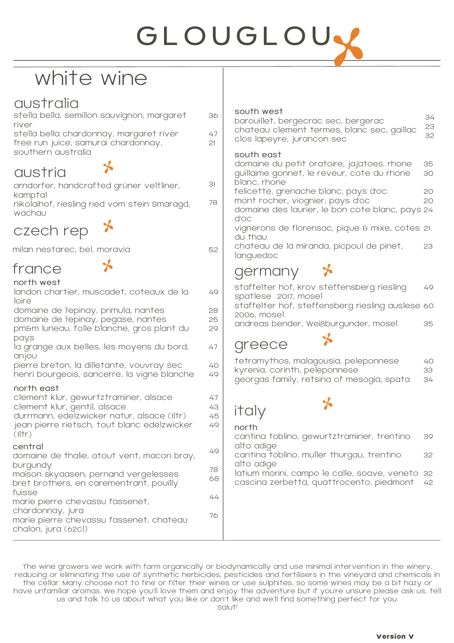# GLOUGLOU.

# white wine

### australia

| stella bella, semillon sauvignon, margaret | 36 |
|--------------------------------------------|----|
| river                                      |    |
| stella bella chardonnay, margaret river    | 47 |
| free run juice, samurai chardonnay,        | 21 |
| southern australia                         |    |
|                                            |    |

#### austria

| arndorfer, handcrafted grüner veltliner,<br>kamptal |
|-----------------------------------------------------|
| nikolaihof, riesling ried vom stein Smaragd,        |
| wachau                                              |

⊁



milan nestarec, bel, moravia

#### france

#### north west

| landon chartier, muscadet, coteaux de la<br>loire                                                                                                                                          | 49                   |
|--------------------------------------------------------------------------------------------------------------------------------------------------------------------------------------------|----------------------|
| domaine de l'epinay, primula, nantes<br>domaine de l'epinay, pegase, nantes<br>pm&m luneau, folle blanche, gros plant du<br>pays                                                           | 28<br>25<br>29       |
| la grange aux belles, les moyens du bord,<br>anjou                                                                                                                                         | 47                   |
| pierre breton, la dilletante, vouvray sec<br>henri bourgeois, sancerre, la vigne blanche                                                                                                   | 40<br>49             |
| north east<br>clement klur, gewurtztraminer, alsace<br>clement klur, gentil, alsace<br>durrmann, edelzwicker natur, alsace (1ltr)<br>jean pierre rietsch, tout blanc edelzwicker<br>(11tr) | 47<br>43<br>45<br>49 |
| central<br>domaine de thalie, atout vent, macon bray,                                                                                                                                      | 49                   |
| burgundy<br>maison skyaasen, pernand vergelesses<br>bret brothers, en carementrant, pouilly                                                                                                | 78<br>68             |
| fuisse<br>marie pierre chevassu fassenet,                                                                                                                                                  | 44                   |
| chardonnay, jura<br>marie pierre chevassu fassenet, chateau<br>chalon, jura (62cl)                                                                                                         | 76                   |

#### south west

| barouillet, bergecrac sec, bergerac        | 34              |
|--------------------------------------------|-----------------|
|                                            | -23             |
| chateau clement termes, blanc sec, gaillac | 32 <sup>°</sup> |
| clos lapeyre, jurancon sec                 |                 |

#### south east

31

78

52

| domaine du petit oratoire, jajatoes, rhone      | 35 |
|-------------------------------------------------|----|
| guillaime gonnet, le reveur, cote du rhone      | 30 |
| blanc, rhone                                    |    |
| felicette, grenache blanc, pays d'oc            | 20 |
| mont rocher, viognier, pays d'oc                | 20 |
| domaine des laurier, le bon cote blanc, pays 24 |    |
| d'oc                                            |    |
| vignerons de florensac, pique & mixe, cotes 21  |    |
| du thau                                         |    |
| chateau de la miranda, picpoul de pinet,        | 23 |
| languedoc                                       |    |
|                                                 |    |

#### germany  $\mathbf{r}$

| spatlese 2017, mosel | staffelter hof, krov steffensberg riesling                                                                         | 49             |
|----------------------|--------------------------------------------------------------------------------------------------------------------|----------------|
| 2006, mosel          | staffelter hof, steffensberg riesling auslese 60                                                                   |                |
|                      | andreas bender, Weißburgunder, mosel                                                                               | 35             |
| greece               |                                                                                                                    |                |
|                      | tetramythos, malagousia, peleponnese<br>kyrenia, corinth, peleponnese<br>georgas family, retsina of mesogia, spata | 40<br>33<br>34 |
| italy                |                                                                                                                    |                |

north

cantina toblino, gewurtztraminer, trentino alto adige 39

cantina toblino, muller thurgau, trentino alto adige 32

latium morini, campo le calle, soave, veneto 32 cascina zerbetta, quattrocento, piedmont 42

The wine growers we work with farm organically or biodynamically and use minimal intervention in the winery, reducing or eliminating the use of synthetic herbicides, pesticides and fertilisers in the vineyard and chemicals in the cellar. Many choose not to fine or filter their wines or use sulphites, so some wines may be a bit hazy or have unfamiliar aromas. We hope you'll love them and enjoy the adventure but if you're unsure please ask us, tell us and talk to us about what you like or don't like and we'll find something perfect for you.

Salut!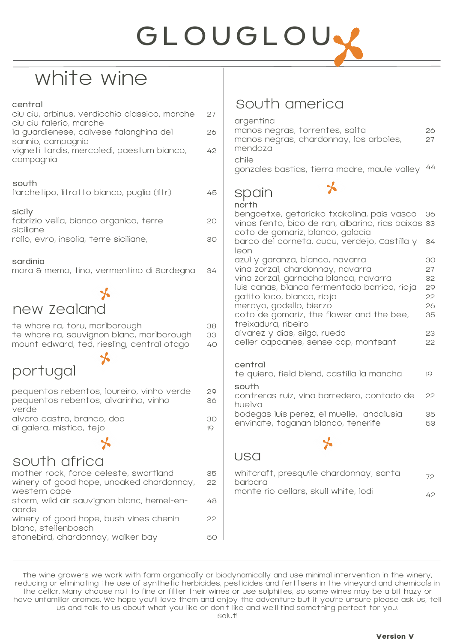# **GLOUGLOU**

# white wine

| central<br>ciu ciu, arbinus, verdicchio classico, marche<br>ciu ciu falerio, marche                                       | 27             |
|---------------------------------------------------------------------------------------------------------------------------|----------------|
| la guardienese, calvese falanghina del                                                                                    | 26             |
| sannio, campagnia<br>vigneti tardis, mercoledì, paestum bianco,<br>campagnia                                              | 42             |
| south<br>l'archetipo, litrotto bianco, puglia (1ltr)                                                                      | 45             |
| sicily<br>fabrizio vella, bianco organico, terre                                                                          | 20             |
| siciliane<br>rallo, evro, insolia, terre siciliane,                                                                       | 30             |
| sardinia<br>mora & memo, tino, vermentino di sardegna                                                                     | 34             |
|                                                                                                                           |                |
| new Zealand                                                                                                               |                |
| te whare ra, toru, marlborough<br>te whare ra, sauvignon blanc, marlborough<br>mount edward, ted, riesling, central otago | 38<br>33<br>40 |
| portugal                                                                                                                  |                |
| pequentos rebentos, loureiro, vinho verde<br>pequentos rebentos, alvarinho, vinho<br>verde                                | 29<br>36       |
| alvaro castro, branco, doa<br>ai galera, mistico, tejo                                                                    | 30<br>19       |
|                                                                                                                           |                |
| south africa                                                                                                              |                |
| mother rock, force celeste, swartland<br>winery of good hope, unoaked chardonnay,<br>western cape                         | 35<br>22       |
| storm, wild air sauvignon blanc, hemel-en-<br>aarde                                                                       | 48             |
| winery of good hope, bush vines chenin                                                                                    | 22             |
| blanc, stellenbosch<br>stonebird, chardonnay, walker bay                                                                  | 5С             |
|                                                                                                                           |                |

## South america

| argentina<br>manos negras, torrentes, salta<br>manos negras, chardonnay, los arboles,<br>mendoza<br>chile<br>gonzales bastias, tierra madre, maule valley | 26<br>27<br>44 |
|-----------------------------------------------------------------------------------------------------------------------------------------------------------|----------------|
|                                                                                                                                                           |                |
| spain                                                                                                                                                     |                |
| north                                                                                                                                                     |                |
| bengoetxe, getariako txakolina, pais vasco<br>vinos fento, bico de ran, albarino, rias baixas<br>coto de gomariz, blanco, galacia                         | 36<br>33       |
| barco del corneta, cucu, verdejo, Castilla y<br>leon                                                                                                      | 34             |
| azul y garanza, blanco, navarra                                                                                                                           | 30             |
| vina zorzal, chardonnay, navarra                                                                                                                          | 27             |
| vina zorzal, garnacha blanca, navarra<br>luis canas, blanca fermentado barrica, rioja                                                                     | 32<br>29       |
| gatito loco, bianco, rioja                                                                                                                                | 22             |
| merayo, godello, bierzo                                                                                                                                   | 26             |
| coto de gomariz, the flower and the bee,<br>treixadura, ribeiro                                                                                           | 35             |
| alvarez y dias, silga, rueda                                                                                                                              | 23             |
| celler capcanes, sense cap, montsant                                                                                                                      | 22             |
|                                                                                                                                                           |                |
| central                                                                                                                                                   |                |
| te quiero, field blend, castilla la mancha                                                                                                                | 10             |
| south                                                                                                                                                     |                |
| contreras ruiz, vina barredero, contado de<br>hualva                                                                                                      | 22             |

huelva bodegas luis perez, el muelle, andalusia envinate, taganan blanco, tenerife 35 53

⅍

## usa

| whitcraft, presqu'ile chardonnay, santa<br>barbara | - 72 |
|----------------------------------------------------|------|
| monte rio cellars, skull white, lodi               | 42.  |

The wine growers we work with farm organically or biodynamically and use minimal intervention in the winery, reducing or eliminating the use of synthetic herbicides, pesticides and fertilisers in the vineyard and chemicals in the cellar. Many choose not to fine or filter their wines or use sulphites, so some wines may be a bit hazy or have unfamiliar aromas. We hope you'll love them and enjoy the adventure but if you're unsure please ask us, tell us and talk to us about what you like or don't like and we'll find something perfect for you. Salut!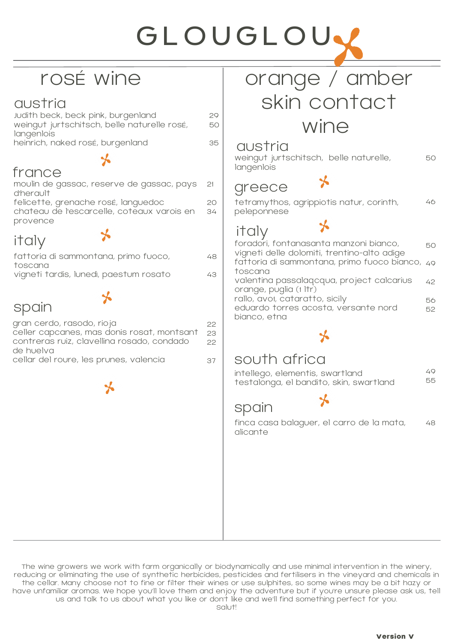# GLOUGLOU.

# rosé wine

### austria

| Judith beck, beck pink, burgenland          | 29 |
|---------------------------------------------|----|
| weingut jurtschitsch, belle naturelle rosé, | 50 |
| langenlois                                  |    |
| heinrich, naked rosé, burgenland            | 35 |

## france

d'herault

# moulin de gassac, reserve de gassac, pays

felicette, grenache rosé, languedoc chateau de l'escarcelle, coteaux varois en provence  $20$ 34

# italy

| fattoria di sammontana, primo fuoco,   | 48 |
|----------------------------------------|----|
| toscana                                |    |
| vigneti tardis, lunedì, paestum rosato | 43 |
|                                        |    |

⊁

# spain

| gran cerdo, rasodo, rioja<br>celler capcanes, mas donis rosat, montsant<br>contreras ruiz, clavellina rosado, condado | 22<br>23<br>22 |
|-----------------------------------------------------------------------------------------------------------------------|----------------|
| de huelva                                                                                                             |                |
| cellar del roure, les prunes, valencia                                                                                | 37             |

# orange / amber skin contact wine

#### austria

21

weingut jurtschitsch, belle naturelle, langenlois 50

# greece

tetramythos, agrippiotis natur, corinth, peleponnese 46

# italy

50 49 42 56 52 foradori, fontanasanta manzoni bianco, vigneti delle dolomiti, trentino-alto adige fattoria di sammontana, primo fuoco bianco, toscana valentina passalaqcqua, project calcarius orange, puglia (1 ltr) rallo, avo1, cataratto, sicily eduardo torres acosta, versante nord bianco, etna

## south africa

| intellego, elementis, swartland         | 49. |
|-----------------------------------------|-----|
| testalonga, el bandito, skin, swartland | 55  |

# spain

finca casa balaguer, el carro de la mata, alicante 48

The wine growers we work with farm organically or biodynamically and use minimal intervention in the winery, reducing or eliminating the use of synthetic herbicides, pesticides and fertilisers in the vineyard and chemicals in the cellar. Many choose not to fine or filter their wines or use sulphites, so some wines may be a bit hazy or have unfamiliar aromas. We hope you'll love them and enjoy the adventure but if you're unsure please ask us, tell us and talk to us about what you like or don't like and we'll find something perfect for you.